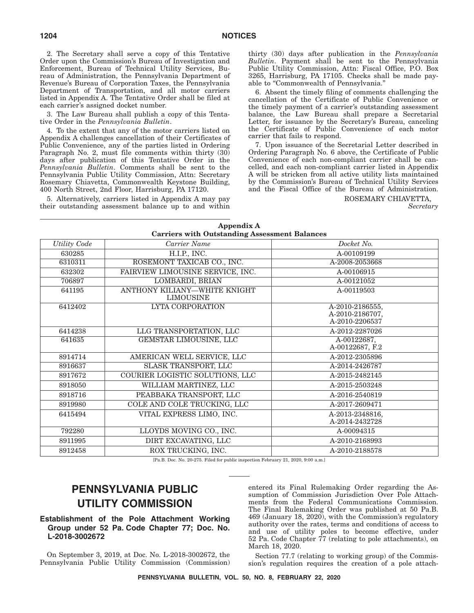2. The Secretary shall serve a copy of this Tentative Order upon the Commission's Bureau of Investigation and Enforcement, Bureau of Technical Utility Services, Bureau of Administration, the Pennsylvania Department of Revenue's Bureau of Corporation Taxes, the Pennsylvania Department of Transportation, and all motor carriers listed in Appendix A. The Tentative Order shall be filed at each carrier's assigned docket number.

3. The Law Bureau shall publish a copy of this Tentative Order in the *Pennsylvania Bulletin*.

4. To the extent that any of the motor carriers listed on Appendix A challenges cancellation of their Certificates of Public Convenience, any of the parties listed in Ordering Paragraph No. 2, must file comments within thirty (30) days after publication of this Tentative Order in the *Pennsylvania Bulletin*. Comments shall be sent to the Pennsylvania Public Utility Commission, Attn: Secretary Rosemary Chiavetta, Commonwealth Keystone Building, 400 North Street, 2nd Floor, Harrisburg, PA 17120.

5. Alternatively, carriers listed in Appendix A may pay their outstanding assessment balance up to and within thirty (30) days after publication in the *Pennsylvania Bulletin*. Payment shall be sent to the Pennsylvania Public Utility Commission, Attn: Fiscal Office, P.O. Box 3265, Harrisburg, PA 17105. Checks shall be made payable to ''Commonwealth of Pennsylvania.''

6. Absent the timely filing of comments challenging the cancellation of the Certificate of Public Convenience or the timely payment of a carrier's outstanding assessment balance, the Law Bureau shall prepare a Secretarial Letter, for issuance by the Secretary's Bureau, canceling the Certificate of Public Convenience of each motor carrier that fails to respond.

7. Upon issuance of the Secretarial Letter described in Ordering Paragraph No. 6 above, the Certificate of Public Convenience of each non-compliant carrier shall be cancelled, and each non-compliant carrier listed in Appendix A will be stricken from all active utility lists maintained by the Commission's Bureau of Technical Utility Services and the Fiscal Office of the Bureau of Administration.

ROSEMARY CHIAVETTA,

*Secretary*

| Appendix A<br><b>Carriers with Outstanding Assessment Balances</b> |                                                  |                                                      |
|--------------------------------------------------------------------|--------------------------------------------------|------------------------------------------------------|
| <b>Utility Code</b>                                                | Carrier Name                                     | Docket No.                                           |
| 630285                                                             | H.I.P., INC.                                     | A-00109199                                           |
| 6310311                                                            | ROSEMONT TAXICAB CO., INC.                       | A-2008-2053668                                       |
| 632302                                                             | FAIRVIEW LIMOUSINE SERVICE, INC.                 | A-00106915                                           |
| 706897                                                             | <b>LOMBARDI, BRIAN</b>                           | A-00121052                                           |
| 641195                                                             | ANTHONY KILIANY-WHITE KNIGHT<br><b>LIMOUSINE</b> | A-00119503                                           |
| 6412402                                                            | <b>LYTA CORPORATION</b>                          | A-2010-2186555,<br>A-2010-2186707,<br>A-2010-2206537 |
| 6414238                                                            | LLG TRANSPORTATION, LLC                          | A-2012-2287026                                       |
| 641635                                                             | GEMSTAR LIMOUSINE, LLC                           | A-00122687,<br>A-00122687, F.2                       |
| 8914714                                                            | AMERICAN WELL SERVICE, LLC                       | A-2012-2305896                                       |
| 8916637                                                            | <b>SLASK TRANSPORT, LLC</b>                      | A-2014-2426787                                       |
| 8917672                                                            | COURIER LOGISTIC SOLUTIONS, LLC                  | A-2015-2482145                                       |
| 8918050                                                            | WILLIAM MARTINEZ, LLC                            | A-2015-2503248                                       |
| 8918716                                                            | PEABBAKA TRANSPORT, LLC                          | A-2016-2540819                                       |
| 8919980                                                            | COLE AND COLE TRUCKING, LLC                      | A-2017-2609471                                       |
| 6415494                                                            | VITAL EXPRESS LIMO, INC.                         | A-2013-2348816,<br>A-2014-2432728                    |
| 792280                                                             | LLOYDS MOVING CO., INC.                          | A-00094315                                           |
| 8911995                                                            | DIRT EXCAVATING, LLC                             | A-2010-2168993                                       |
| 8912458                                                            | ROX TRUCKING, INC.                               | A-2010-2188578                                       |

[Pa.B. Doc. No. 20-275. Filed for public inspection February 21, 2020, 9:00 a.m.]

# **PENNSYLVANIA PUBLIC UTILITY COMMISSION**

### **Establishment of the Pole Attachment Working Group under 52 Pa. Code Chapter 77; Doc. No. L-2018-3002672**

On September 3, 2019, at Doc. No. L-2018-3002672, the Pennsylvania Public Utility Commission (Commission)

entered its Final Rulemaking Order regarding the Assumption of Commission Jurisdiction Over Pole Attachments from the Federal Communications Commission. The Final Rulemaking Order was published at 50 Pa.B. 469 (January 18, 2020), with the Commission's regulatory authority over the rates, terms and conditions of access to and use of utility poles to become effective, under 52 Pa. Code Chapter 77 (relating to pole attachments), on March 18, 2020.

Section 77.7 (relating to working group) of the Commission's regulation requires the creation of a pole attach-

**PENNSYLVANIA BULLETIN, VOL. 50, NO. 8, FEBRUARY 22, 2020**